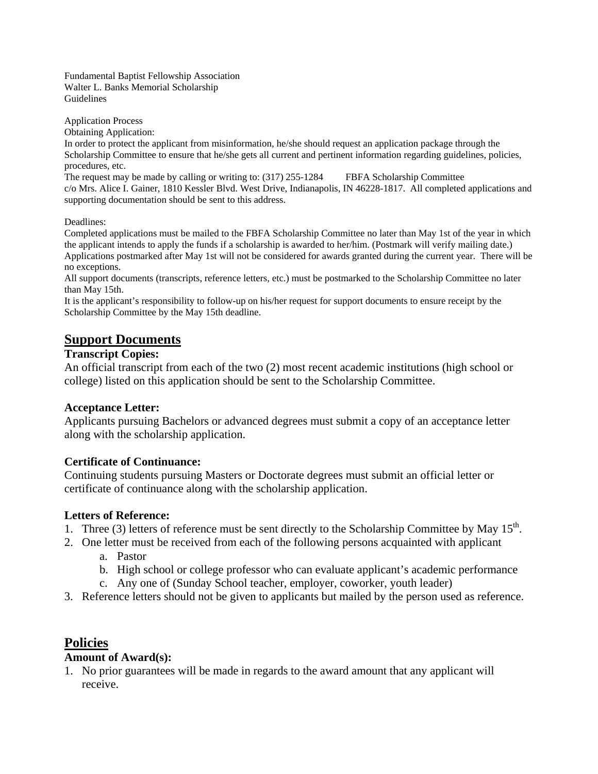Fundamental Baptist Fellowship Association Walter L. Banks Memorial Scholarship Guidelines

Application Process

Obtaining Application:

In order to protect the applicant from misinformation, he/she should request an application package through the Scholarship Committee to ensure that he/she gets all current and pertinent information regarding guidelines, policies, procedures, etc.

The request may be made by calling or writing to: (317) 255-1284 FBFA Scholarship Committee c/o Mrs. Alice I. Gainer, 1810 Kessler Blvd. West Drive, Indianapolis, IN 46228-1817. All completed applications and supporting documentation should be sent to this address.

Deadlines:

Completed applications must be mailed to the FBFA Scholarship Committee no later than May 1st of the year in which the applicant intends to apply the funds if a scholarship is awarded to her/him. (Postmark will verify mailing date.) Applications postmarked after May 1st will not be considered for awards granted during the current year. There will be no exceptions.

All support documents (transcripts, reference letters, etc.) must be postmarked to the Scholarship Committee no later than May 15th.

It is the applicant's responsibility to follow-up on his/her request for support documents to ensure receipt by the Scholarship Committee by the May 15th deadline.

### **Support Documents**

#### **Transcript Copies:**

An official transcript from each of the two (2) most recent academic institutions (high school or college) listed on this application should be sent to the Scholarship Committee.

#### **Acceptance Letter:**

Applicants pursuing Bachelors or advanced degrees must submit a copy of an acceptance letter along with the scholarship application.

#### **Certificate of Continuance:**

Continuing students pursuing Masters or Doctorate degrees must submit an official letter or certificate of continuance along with the scholarship application.

#### **Letters of Reference:**

- 1. Three (3) letters of reference must be sent directly to the Scholarship Committee by May  $15<sup>th</sup>$ .
- 2. One letter must be received from each of the following persons acquainted with applicant a. Pastor
	-
	- b. High school or college professor who can evaluate applicant's academic performance
	- c. Any one of (Sunday School teacher, employer, coworker, youth leader)
- 3. Reference letters should not be given to applicants but mailed by the person used as reference.

### **Policies**

### **Amount of Award(s):**

1. No prior guarantees will be made in regards to the award amount that any applicant will receive.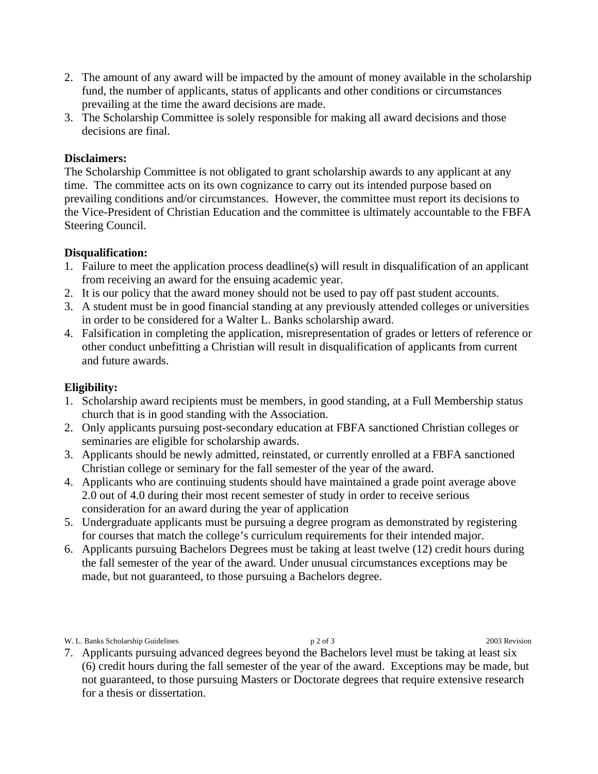- 2. The amount of any award will be impacted by the amount of money available in the scholarship fund, the number of applicants, status of applicants and other conditions or circumstances prevailing at the time the award decisions are made.
- 3. The Scholarship Committee is solely responsible for making all award decisions and those decisions are final.

### **Disclaimers:**

The Scholarship Committee is not obligated to grant scholarship awards to any applicant at any time. The committee acts on its own cognizance to carry out its intended purpose based on prevailing conditions and/or circumstances. However, the committee must report its decisions to the Vice-President of Christian Education and the committee is ultimately accountable to the FBFA Steering Council.

#### **Disqualification:**

- 1. Failure to meet the application process deadline(s) will result in disqualification of an applicant from receiving an award for the ensuing academic year.
- 2. It is our policy that the award money should not be used to pay off past student accounts.
- 3. A student must be in good financial standing at any previously attended colleges or universities in order to be considered for a Walter L. Banks scholarship award.
- 4. Falsification in completing the application, misrepresentation of grades or letters of reference or other conduct unbefitting a Christian will result in disqualification of applicants from current and future awards.

#### **Eligibility:**

- 1. Scholarship award recipients must be members, in good standing, at a Full Membership status church that is in good standing with the Association.
- 2. Only applicants pursuing post-secondary education at FBFA sanctioned Christian colleges or seminaries are eligible for scholarship awards.
- 3. Applicants should be newly admitted, reinstated, or currently enrolled at a FBFA sanctioned Christian college or seminary for the fall semester of the year of the award.
- 4. Applicants who are continuing students should have maintained a grade point average above 2.0 out of 4.0 during their most recent semester of study in order to receive serious consideration for an award during the year of application
- 5. Undergraduate applicants must be pursuing a degree program as demonstrated by registering for courses that match the college's curriculum requirements for their intended major.
- 6. Applicants pursuing Bachelors Degrees must be taking at least twelve (12) credit hours during the fall semester of the year of the award. Under unusual circumstances exceptions may be made, but not guaranteed, to those pursuing a Bachelors degree.

#### W. L. Banks Scholarship Guidelines p 2 of 3 2003 Revision

7. Applicants pursuing advanced degrees beyond the Bachelors level must be taking at least six (6) credit hours during the fall semester of the year of the award. Exceptions may be made, but not guaranteed, to those pursuing Masters or Doctorate degrees that require extensive research for a thesis or dissertation.